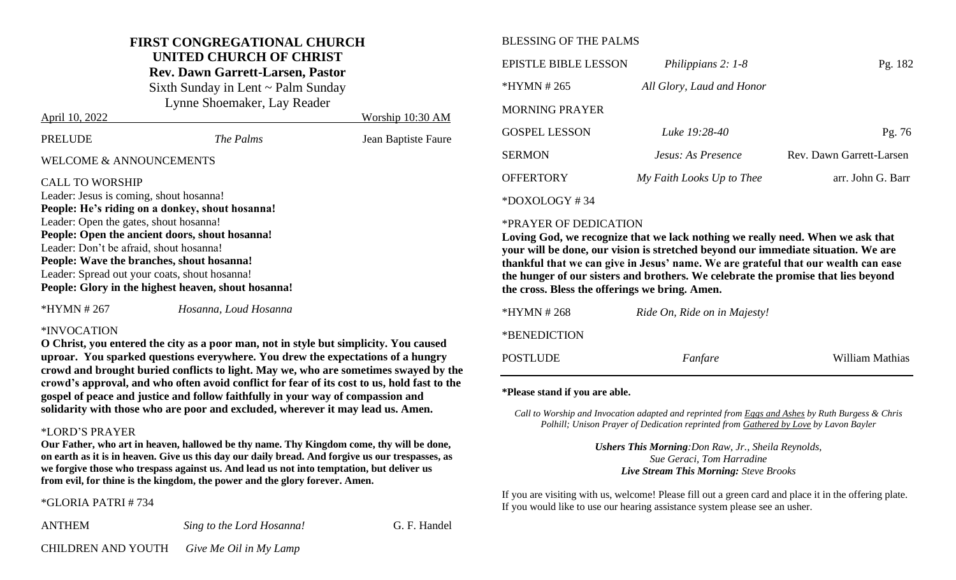# **FIRST CONGREGATIONAL CHURCH UNITED CHURCH OF CHRIST**

**Rev. Dawn Garrett-Larsen, Pastor**

Sixth Sunday in Lent ~ Palm Sunday Lynne Shoemaker, Lay Reader

| April 10, 2022                                                                                                                                                                                                                                                                                                                                                                                                   |           | Worship 10:30 AM    |  |
|------------------------------------------------------------------------------------------------------------------------------------------------------------------------------------------------------------------------------------------------------------------------------------------------------------------------------------------------------------------------------------------------------------------|-----------|---------------------|--|
| <b>PRELUDE</b>                                                                                                                                                                                                                                                                                                                                                                                                   | The Palms | Jean Baptiste Faure |  |
| <b>WELCOME &amp; ANNOUNCEMENTS</b>                                                                                                                                                                                                                                                                                                                                                                               |           |                     |  |
| <b>CALL TO WORSHIP</b><br>Leader: Jesus is coming, shout hosanna!<br>People: He's riding on a donkey, shout hosanna!<br>Leader: Open the gates, shout hosanna!<br>People: Open the ancient doors, shout hosanna!<br>Leader: Don't be afraid, shout hosanna!<br>People: Wave the branches, shout hosanna!<br>Leader: Spread out your coats, shout hosanna!<br>People: Glory in the highest heaven, shout hosanna! |           |                     |  |
|                                                                                                                                                                                                                                                                                                                                                                                                                  |           |                     |  |

\*HYMN # 267 *Hosanna, Loud Hosanna*

#### \*INVOCATION

**O Christ, you entered the city as a poor man, not in style but simplicity. You caused uproar. You sparked questions everywhere. You drew the expectations of a hungry crowd and brought buried conflicts to light. May we, who are sometimes swayed by the crowd's approval, and who often avoid conflict for fear of its cost to us, hold fast to the gospel of peace and justice and follow faithfully in your way of compassion and solidarity with those who are poor and excluded, wherever it may lead us. Amen.**

### \*LORD'S PRAYER

**Our Father, who art in heaven, hallowed be thy name. Thy Kingdom come, thy will be done, on earth as it is in heaven. Give us this day our daily bread. And forgive us our trespasses, as we forgive those who trespass against us. And lead us not into temptation, but deliver us from evil, for thine is the kingdom, the power and the glory forever. Amen.**

### \*GLORIA PATRI # 734

ANTHEM *Sing to the Lord Hosanna!* G. F. Handel

## BLESSING OF THE PALMS

| EPISTLE BIBLE LESSON  | Philippians 2: 1-8        | Pg. 182                  |
|-----------------------|---------------------------|--------------------------|
| *HYMN # 265           | All Glory, Laud and Honor |                          |
| <b>MORNING PRAYER</b> |                           |                          |
| <b>GOSPEL LESSON</b>  | Luke 19:28-40             | Pg. 76                   |
| <b>SERMON</b>         | Jesus: As Presence        | Rev. Dawn Garrett-Larsen |
| <b>OFFERTORY</b>      | My Faith Looks Up to Thee | arr. John G. Barr        |
| $*$ DOXOLOGY #34      |                           |                          |

#### \*PRAYER OF DEDICATION

**Loving God, we recognize that we lack nothing we really need. When we ask that your will be done, our vision is stretched beyond our immediate situation. We are thankful that we can give in Jesus' name. We are grateful that our wealth can ease the hunger of our sisters and brothers. We celebrate the promise that lies beyond the cross. Bless the offerings we bring. Amen.** 

| *HYMN # 268  | Ride On, Ride on in Majesty! |                 |
|--------------|------------------------------|-----------------|
| *BENEDICTION |                              |                 |
| POSTLUDE     | Fanfare                      | William Mathias |

#### **\*Please stand if you are able.**

*Call to Worship and Invocation adapted and reprinted from Eggs and Ashes by Ruth Burgess & Chris Polhill; Unison Prayer of Dedication reprinted from Gathered by Love by Lavon Bayler*

> *Ushers This Morning:Don Raw, Jr., Sheila Reynolds, Sue Geraci, Tom Harradine Live Stream This Morning: Steve Brooks*

If you are visiting with us, welcome! Please fill out a green card and place it in the offering plate. If you would like to use our hearing assistance system please see an usher.

CHILDREN AND YOUTH *Give Me Oil in My Lamp*